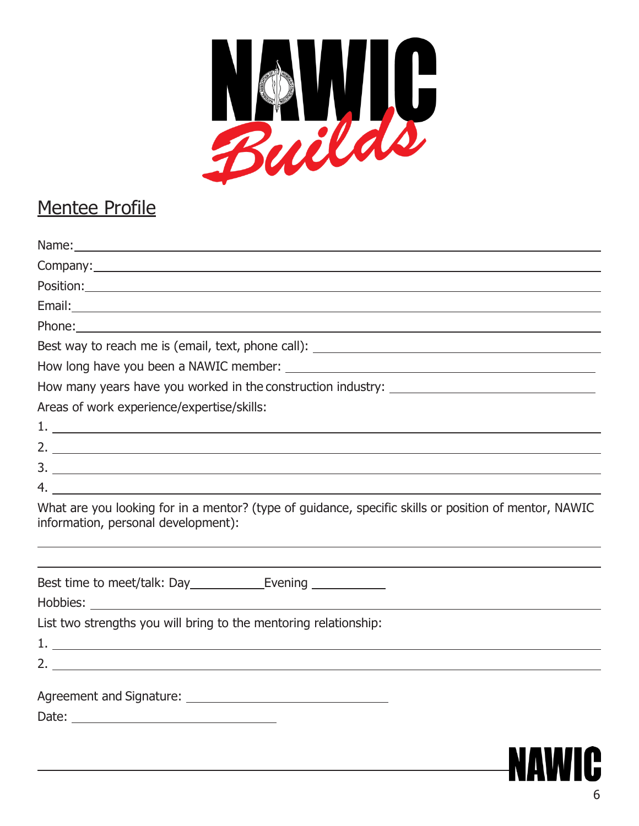

## Mentee Profile

| Position: Position Position Provided and Contract Contract Contract Contract Contract Contract Contract Contract Contract Contract Contract Contract Contract Contract Contract Contract Contract Contract Contract Contract C |
|--------------------------------------------------------------------------------------------------------------------------------------------------------------------------------------------------------------------------------|
|                                                                                                                                                                                                                                |
|                                                                                                                                                                                                                                |
| Best way to reach me is (email, text, phone call): \\esp \\esp \\esp \\esp \\esp \\esp \\esp \\esp \\esp \\esp \\esp \\esp \\esp \\esp \\esp \\esp \\esp \\esp \\esp \\esp \\esp \\esp \\esp \\esp \\esp \\esp \\esp \\esp \\e |
|                                                                                                                                                                                                                                |
|                                                                                                                                                                                                                                |
| Areas of work experience/expertise/skills:                                                                                                                                                                                     |
|                                                                                                                                                                                                                                |
|                                                                                                                                                                                                                                |
|                                                                                                                                                                                                                                |
|                                                                                                                                                                                                                                |
| What are you looking for in a mentor? (type of guidance, specific skills or position of mentor, NAWIC<br>information, personal development):                                                                                   |
|                                                                                                                                                                                                                                |
|                                                                                                                                                                                                                                |
|                                                                                                                                                                                                                                |
| List two strengths you will bring to the mentoring relationship:                                                                                                                                                               |
|                                                                                                                                                                                                                                |
|                                                                                                                                                                                                                                |
|                                                                                                                                                                                                                                |
|                                                                                                                                                                                                                                |
|                                                                                                                                                                                                                                |

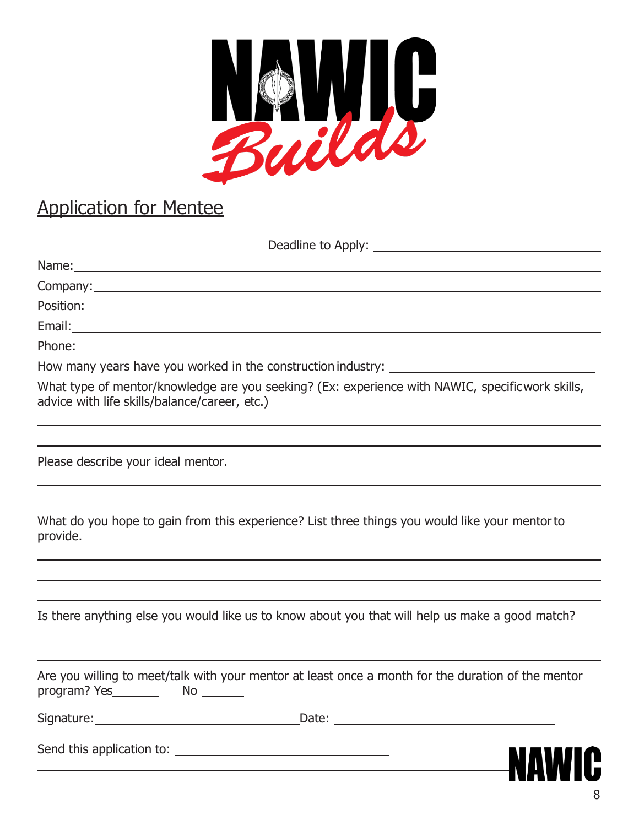

## Application for Mentee

Deadline to Apply:

| How many years have you worked in the construction industry: ____________________                                                                                                                                                                                                        |   |
|------------------------------------------------------------------------------------------------------------------------------------------------------------------------------------------------------------------------------------------------------------------------------------------|---|
| What type of mentor/knowledge are you seeking? (Ex: experience with NAWIC, specificwork skills,<br>advice with life skills/balance/career, etc.)                                                                                                                                         |   |
|                                                                                                                                                                                                                                                                                          |   |
| Please describe your ideal mentor.                                                                                                                                                                                                                                                       |   |
| What do you hope to gain from this experience? List three things you would like your mentor to<br>provide.<br>,我们也不会有什么。""我们的人,我们也不会有什么?""我们的人,我们也不会有什么?""我们的人,我们也不会有什么?""我们的人,我们也不会有什么?""我们的人                                                                                           |   |
| Is there anything else you would like us to know about you that will help us make a good match?                                                                                                                                                                                          |   |
| Are you willing to meet/talk with your mentor at least once a month for the duration of the mentor                                                                                                                                                                                       |   |
| Signature: Management Contractor Contractor Contractor<br>Date: the contract of the contract of the contract of the contract of the contract of the contract of the contract of the contract of the contract of the contract of the contract of the contract of the contract of the cont |   |
|                                                                                                                                                                                                                                                                                          | W |

Γ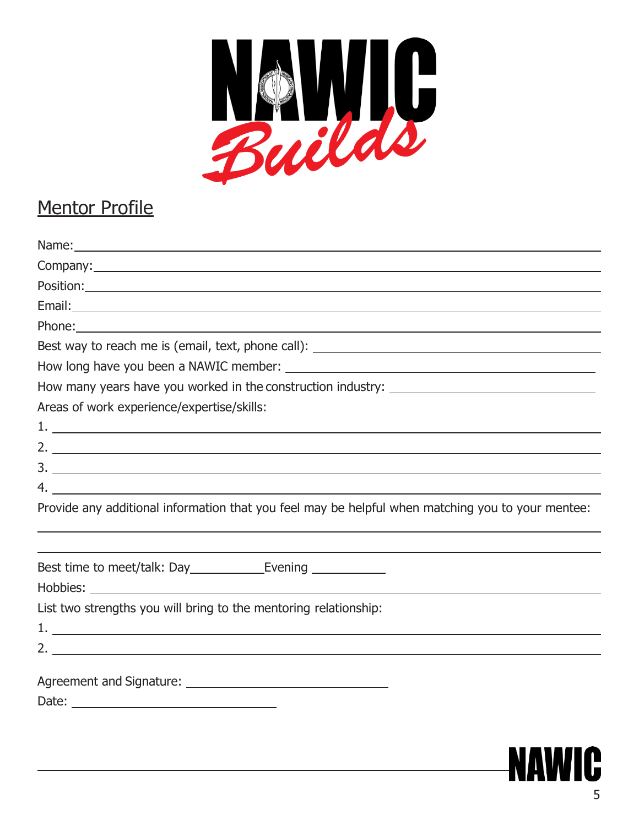

## Mentor Profile

| Best way to reach me is (email, text, phone call): \\esp \\esp \\esp \\esp \\esp \\esp \\esp \\esp \\esp \\esp \\esp \\esp \\esp \\esp \\esp \\esp \\esp \\esp \\esp \\esp \\esp \\esp \\esp \\esp \\esp \\esp \\esp \\esp \\e |
|--------------------------------------------------------------------------------------------------------------------------------------------------------------------------------------------------------------------------------|
|                                                                                                                                                                                                                                |
|                                                                                                                                                                                                                                |
| Areas of work experience/expertise/skills:                                                                                                                                                                                     |
|                                                                                                                                                                                                                                |
|                                                                                                                                                                                                                                |
|                                                                                                                                                                                                                                |
|                                                                                                                                                                                                                                |
| Provide any additional information that you feel may be helpful when matching you to your mentee:                                                                                                                              |
|                                                                                                                                                                                                                                |
|                                                                                                                                                                                                                                |
| List two strengths you will bring to the mentoring relationship:                                                                                                                                                               |
|                                                                                                                                                                                                                                |
|                                                                                                                                                                                                                                |
|                                                                                                                                                                                                                                |
|                                                                                                                                                                                                                                |